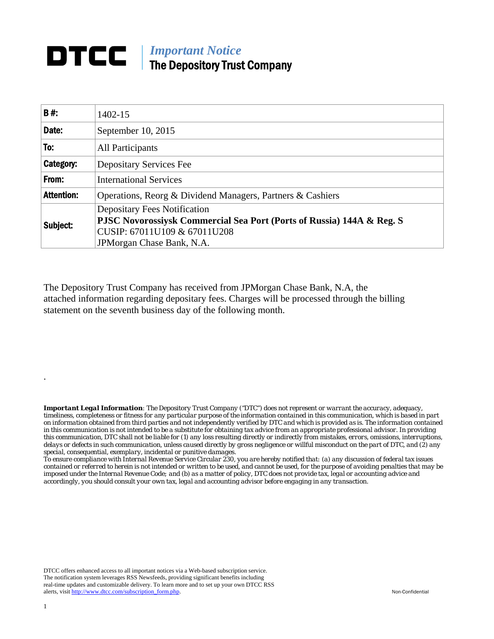## **DTCC** | *Important Notice* The Depository Trust Company

| B#:               | 1402-15                                                               |  |  |  |  |  |
|-------------------|-----------------------------------------------------------------------|--|--|--|--|--|
| Date:             | September 10, 2015                                                    |  |  |  |  |  |
| To:               | All Participants                                                      |  |  |  |  |  |
| Category:         | <b>Depositary Services Fee</b>                                        |  |  |  |  |  |
| From:             | <b>International Services</b>                                         |  |  |  |  |  |
| <b>Attention:</b> | Operations, Reorg & Dividend Managers, Partners & Cashiers            |  |  |  |  |  |
| Subject:          | <b>Depositary Fees Notification</b>                                   |  |  |  |  |  |
|                   | PJSC Novorossiysk Commercial Sea Port (Ports of Russia) 144A & Reg. S |  |  |  |  |  |
|                   | CUSIP: 67011U109 & 67011U208                                          |  |  |  |  |  |
|                   | JPM organ Chase Bank, N.A.                                            |  |  |  |  |  |

The Depository Trust Company has received from JPMorgan Chase Bank, N.A, the attached information regarding depositary fees. Charges will be processed through the billing statement on the seventh business day of the following month.

*Important Legal Information: The Depository Trust Company ("DTC") does not represent or warrant the accuracy, adequacy, timeliness, completeness or fitness for any particular purpose of the information contained in this communication, which is based in part on information obtained from third parties and not independently verified by DTC and which is provided as is. The information contained in this communication is not intended to be a substitute for obtaining tax advice from an appropriate professional advisor. In providing this communication, DTC shall not be liable for (1) any loss resulting directly or indirectly from mistakes, errors, omissions, interruptions, delays or defects in such communication, unless caused directly by gross negligence or willful misconduct on the part of DTC, and (2) any special, consequential, exemplary, incidental or punitive damages.* 

*To ensure compliance with Internal Revenue Service Circular 230, you are hereby notified that: (a) any discussion of federal tax issues contained or referred to herein is not intended or written to be used, and cannot be used, for the purpose of avoiding penalties that may be imposed under the Internal Revenue Code; and (b) as a matter of policy, DTC does not provide tax, legal or accounting advice and accordingly, you should consult your own tax, legal and accounting advisor before engaging in any transaction.*

DTCC offers enhanced access to all important notices via a Web-based subscription service. The notification system leverages RSS Newsfeeds, providing significant benefits including real-time updates and customizable delivery. To learn more and to set up your own DTCC RSS alerts, visit http://www.dtcc.com/subscription\_form.php. Non-Confidential

.